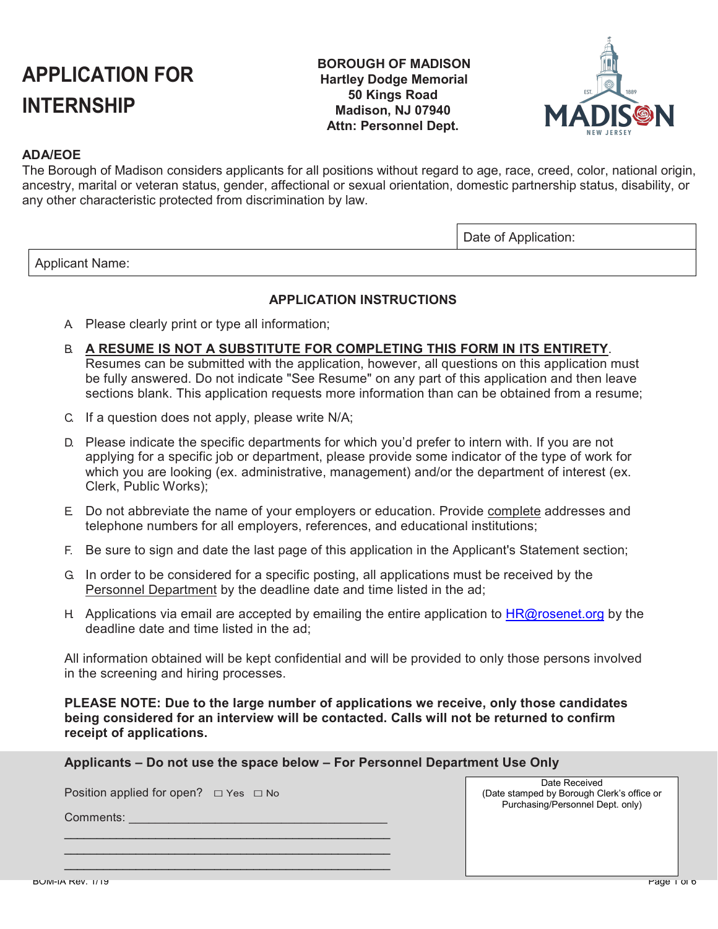# **APPLICATION FOR INTERNSHIP**

## **BOROUGH OF MADISON Hartley Dodge Memorial 50 Kings Road Madison, NJ 07940 Attn: Personnel Dept.**



# **ADA/EOE**

The Borough of Madison considers applicants for all positions without regard to age, race, creed, color, national origin, ancestry, marital or veteran status, gender, affectional or sexual orientation, domestic partnership status, disability, or any other characteristic protected from discrimination by law.

Date of Application:

Applicant Name:

## **APPLICATION INSTRUCTIONS**

- A. Please clearly print or type all information;
- B. **A RESUME IS NOT A SUBSTITUTE FOR COMPLETING THIS FORM IN ITS ENTIRETY**. Resumes can be submitted with the application, however, all questions on this application must be fully answered. Do not indicate "See Resume" on any part of this application and then leave sections blank. This application requests more information than can be obtained from a resume;
- C. If a question does not apply, please write N/A;
- D. Please indicate the specific departments for which you'd prefer to intern with. If you are not applying for a specific job or department, please provide some indicator of the type of work for which you are looking (ex. administrative, management) and/or the department of interest (ex. Clerk, Public Works);
- E. Do not abbreviate the name of your employers or education. Provide complete addresses and telephone numbers for all employers, references, and educational institutions;
- F. Be sure to sign and date the last page of this application in the Applicant's Statement section;
- G. In order to be considered for a specific posting, all applications must be received by the Personnel Department by the deadline date and time listed in the ad;
- H. Applications via email are accepted by emailing the entire application to  $HR@$ rosenet.org by the deadline date and time listed in the ad;

All information obtained will be kept confidential and will be provided to only those persons involved in the screening and hiring processes.

**PLEASE NOTE: Due to the large number of applications we receive, only those candidates being considered for an interview will be contacted. Calls will not be returned to confirm receipt of applications.**

**Applicants – Do not use the space below – For Personnel Department Use Only**

Position applied for open? □ Yes □ No

\_\_\_\_\_\_\_\_\_\_\_\_\_\_\_\_\_\_\_\_\_\_\_\_\_\_\_\_\_\_\_\_\_\_\_\_\_\_\_\_\_\_\_\_\_\_\_\_\_\_ \_\_\_\_\_\_\_\_\_\_\_\_\_\_\_\_\_\_\_\_\_\_\_\_\_\_\_\_\_\_\_\_\_\_\_\_\_\_\_\_\_\_\_\_\_\_\_\_\_\_ \_\_\_\_\_\_\_\_\_\_\_\_\_\_\_\_\_\_\_\_\_\_\_\_\_\_\_\_\_\_\_\_\_\_\_\_\_\_\_\_\_\_\_\_\_\_\_\_\_\_

Comments:

Date Received (Date stamped by Borough Clerk's office or Purchasing/Personnel Dept. only)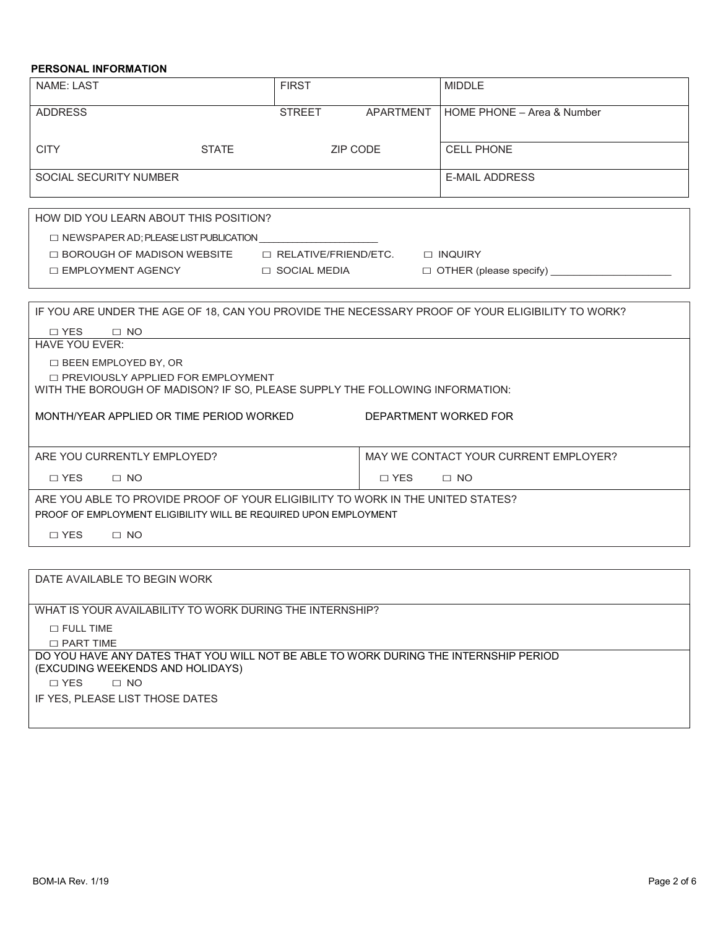## **PERSONAL INFORMATION**

| <b>STREET</b><br>APARTMENT<br>ZIP CODE                                                                                                                                                                                                                                                                                                                                     | HOME PHONE - Area & Number<br><b>CELL PHONE</b>                                                                                                                                                                                  |  |  |
|----------------------------------------------------------------------------------------------------------------------------------------------------------------------------------------------------------------------------------------------------------------------------------------------------------------------------------------------------------------------------|----------------------------------------------------------------------------------------------------------------------------------------------------------------------------------------------------------------------------------|--|--|
|                                                                                                                                                                                                                                                                                                                                                                            |                                                                                                                                                                                                                                  |  |  |
|                                                                                                                                                                                                                                                                                                                                                                            |                                                                                                                                                                                                                                  |  |  |
|                                                                                                                                                                                                                                                                                                                                                                            | <b>E-MAIL ADDRESS</b>                                                                                                                                                                                                            |  |  |
|                                                                                                                                                                                                                                                                                                                                                                            |                                                                                                                                                                                                                                  |  |  |
|                                                                                                                                                                                                                                                                                                                                                                            | $\Box$ OTHER (please specify)                                                                                                                                                                                                    |  |  |
| IF YOU ARE UNDER THE AGE OF 18, CAN YOU PROVIDE THE NECESSARY PROOF OF YOUR ELIGIBILITY TO WORK?<br>$\Box$ YES<br>$\Box$ NO<br><b>HAVE YOU EVER:</b><br>□ BEEN EMPLOYED BY, OR<br>□ PREVIOUSLY APPLIED FOR EMPLOYMENT<br>WITH THE BOROUGH OF MADISON? IF SO, PLEASE SUPPLY THE FOLLOWING INFORMATION:<br>MONTH/YEAR APPLIED OR TIME PERIOD WORKED<br>DEPARTMENT WORKED FOR |                                                                                                                                                                                                                                  |  |  |
|                                                                                                                                                                                                                                                                                                                                                                            | MAY WE CONTACT YOUR CURRENT EMPLOYER?                                                                                                                                                                                            |  |  |
| $\Box$ YES<br>$\Box$ NO<br>$\Box$ NO<br>ARE YOU ABLE TO PROVIDE PROOF OF YOUR ELIGIBILITY TO WORK IN THE UNITED STATES?                                                                                                                                                                                                                                                    |                                                                                                                                                                                                                                  |  |  |
|                                                                                                                                                                                                                                                                                                                                                                            |                                                                                                                                                                                                                                  |  |  |
|                                                                                                                                                                                                                                                                                                                                                                            |                                                                                                                                                                                                                                  |  |  |
|                                                                                                                                                                                                                                                                                                                                                                            | $\Box$ NEWSPAPER AD; PLEASE LIST PUBLICATION<br>$\Box$ BOROUGH OF MADISON WEBSITE $\Box$ RELATIVE/FRIEND/ETC. $\Box$ INQUIRY<br>□ SOCIAL MEDIA<br>$\Box$ YES<br>PROOF OF EMPLOYMENT ELIGIBILITY WILL BE REQUIRED UPON EMPLOYMENT |  |  |

| DATE AVAILABLE TO BEGIN WORK                                                                                             |
|--------------------------------------------------------------------------------------------------------------------------|
|                                                                                                                          |
| WHAT IS YOUR AVAILABILITY TO WORK DURING THE INTERNSHIP?                                                                 |
| $\Box$ FULL TIME                                                                                                         |
| $\Box$ PART TIME                                                                                                         |
| DO YOU HAVE ANY DATES THAT YOU WILL NOT BE ABLE TO WORK DURING THE INTERNSHIP PERIOD<br>(EXCUDING WEEKENDS AND HOLIDAYS) |
| $\Box$ YES<br>$\Box$ NO                                                                                                  |
| IF YES, PLEASE LIST THOSE DATES                                                                                          |
|                                                                                                                          |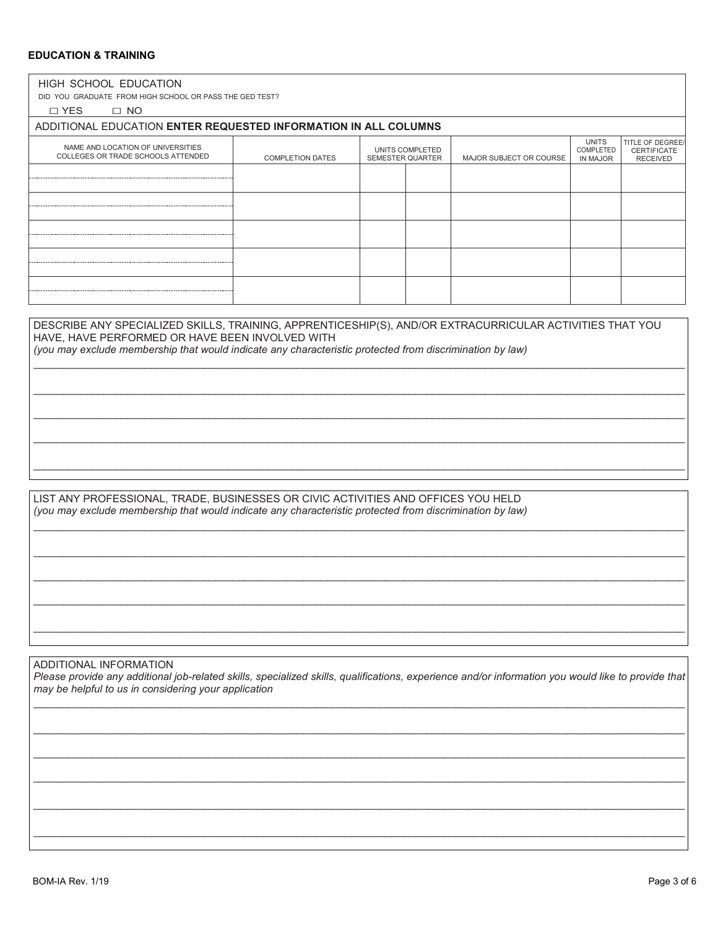## **EDUCATION & TRAINING**

| DID YOU GRADUATE FROM HIGH SCHOOL OR PASS THE GED TEST?<br>$\square$ YES<br>$\Box$ NO<br>ADDITIONAL EDUCATION ENTER REQUESTED INFORMATION IN ALL COLUMNS<br>NAME AND LOCATION OF UNIVERSITIES<br>COLLEGES OR TRADE SCHOOLS ATTENDED                                     | <b>COMPLETION DATES</b> | UNITS COMPLETED<br><b>SEMESTER QUARTER</b> | MAJOR SUBJECT OR COURSE | <b>UNITS</b><br>COMPLETED<br><b>IN MAJOR</b> | TITLE OF DEGREE/<br><b>CERTIFICATE</b><br><b>RECEIVED</b> |
|-------------------------------------------------------------------------------------------------------------------------------------------------------------------------------------------------------------------------------------------------------------------------|-------------------------|--------------------------------------------|-------------------------|----------------------------------------------|-----------------------------------------------------------|
|                                                                                                                                                                                                                                                                         |                         |                                            |                         |                                              |                                                           |
|                                                                                                                                                                                                                                                                         |                         |                                            |                         |                                              |                                                           |
|                                                                                                                                                                                                                                                                         |                         |                                            |                         |                                              |                                                           |
|                                                                                                                                                                                                                                                                         |                         |                                            |                         |                                              |                                                           |
|                                                                                                                                                                                                                                                                         |                         |                                            |                         |                                              |                                                           |
|                                                                                                                                                                                                                                                                         |                         |                                            |                         |                                              |                                                           |
| DESCRIBE ANY SPECIALIZED SKILLS, TRAINING, APPRENTICESHIP(S), AND/OR EXTRACURRICULAR ACTIVITIES THAT YOU<br>HAVE, HAVE PERFORMED OR HAVE BEEN INVOLVED WITH<br>(you may exclude membership that would indicate any characteristic protected from discrimination by law) |                         |                                            |                         |                                              |                                                           |
|                                                                                                                                                                                                                                                                         |                         |                                            |                         |                                              |                                                           |
|                                                                                                                                                                                                                                                                         |                         |                                            |                         |                                              |                                                           |

\_\_\_\_\_\_\_\_\_\_\_\_\_\_\_\_\_\_\_\_\_\_\_\_\_\_\_\_\_\_\_\_\_\_\_\_\_\_\_\_\_\_\_\_\_\_\_\_\_\_\_\_\_\_\_\_\_\_\_\_\_\_\_\_\_\_\_\_\_\_\_\_\_\_\_\_\_\_\_\_\_\_\_\_\_\_\_\_\_\_\_\_\_\_\_\_\_\_\_\_\_\_\_\_\_\_\_\_\_\_\_

\_\_\_\_\_\_\_\_\_\_\_\_\_\_\_\_\_\_\_\_\_\_\_\_\_\_\_\_\_\_\_\_\_\_\_\_\_\_\_\_\_\_\_\_\_\_\_\_\_\_\_\_\_\_\_\_\_\_\_\_\_\_\_\_\_\_\_\_\_\_\_\_\_\_\_\_\_\_\_\_\_\_\_\_\_\_\_\_\_\_\_\_\_\_\_\_\_\_\_\_\_\_\_\_\_\_\_\_\_\_\_

\_\_\_\_\_\_\_\_\_\_\_\_\_\_\_\_\_\_\_\_\_\_\_\_\_\_\_\_\_\_\_\_\_\_\_\_\_\_\_\_\_\_\_\_\_\_\_\_\_\_\_\_\_\_\_\_\_\_\_\_\_\_\_\_\_\_\_\_\_\_\_\_\_\_\_\_\_\_\_\_\_\_\_\_\_\_\_\_\_\_\_\_\_\_\_\_\_\_\_\_\_\_\_\_\_\_\_\_\_\_\_

\_\_\_\_\_\_\_\_\_\_\_\_\_\_\_\_\_\_\_\_\_\_\_\_\_\_\_\_\_\_\_\_\_\_\_\_\_\_\_\_\_\_\_\_\_\_\_\_\_\_\_\_\_\_\_\_\_\_\_\_\_\_\_\_\_\_\_\_\_\_\_\_\_\_\_\_\_\_\_\_\_\_\_\_\_\_\_\_\_\_\_\_\_\_\_\_\_\_\_\_\_\_\_\_\_\_\_\_\_\_\_

\_\_\_\_\_\_\_\_\_\_\_\_\_\_\_\_\_\_\_\_\_\_\_\_\_\_\_\_\_\_\_\_\_\_\_\_\_\_\_\_\_\_\_\_\_\_\_\_\_\_\_\_\_\_\_\_\_\_\_\_\_\_\_\_\_\_\_\_\_\_\_\_\_\_\_\_\_\_\_\_\_\_\_\_\_\_\_\_\_\_\_\_\_\_\_\_\_\_\_\_\_\_\_\_\_\_\_\_\_\_\_

\_\_\_\_\_\_\_\_\_\_\_\_\_\_\_\_\_\_\_\_\_\_\_\_\_\_\_\_\_\_\_\_\_\_\_\_\_\_\_\_\_\_\_\_\_\_\_\_\_\_\_\_\_\_\_\_\_\_\_\_\_\_\_\_\_\_\_\_\_\_\_\_\_\_\_\_\_\_\_\_\_\_\_\_\_\_\_\_\_\_\_\_\_\_\_\_\_\_\_\_\_\_\_\_\_\_\_\_\_\_\_

\_\_\_\_\_\_\_\_\_\_\_\_\_\_\_\_\_\_\_\_\_\_\_\_\_\_\_\_\_\_\_\_\_\_\_\_\_\_\_\_\_\_\_\_\_\_\_\_\_\_\_\_\_\_\_\_\_\_\_\_\_\_\_\_\_\_\_\_\_\_\_\_\_\_\_\_\_\_\_\_\_\_\_\_\_\_\_\_\_\_\_\_\_\_\_\_\_\_\_\_\_\_\_\_\_\_\_\_\_\_\_

LIST ANY PROFESSIONAL, TRADE, BUSINESSES OR CIVIC ACTIVITIES AND OFFICES YOU HELD *(you may exclude membership that would indicate any characteristic protected from discrimination by law)*

#### ADDITIONAL INFORMATION

*Please provide any additional job-related skills, specialized skills, qualifications, experience and/or information you would like to provide that may be helpful to us in considering your application* \_\_\_\_\_\_\_\_\_\_\_\_\_\_\_\_\_\_\_\_\_\_\_\_\_\_\_\_\_\_\_\_\_\_\_\_\_\_\_\_\_\_\_\_\_\_\_\_\_\_\_\_\_\_\_\_\_\_\_\_\_\_\_\_\_\_\_\_\_\_\_\_\_\_\_\_\_\_\_\_\_\_\_\_\_\_\_\_\_\_\_\_\_\_\_\_\_\_\_\_\_\_\_\_\_\_\_\_\_\_\_

\_\_\_\_\_\_\_\_\_\_\_\_\_\_\_\_\_\_\_\_\_\_\_\_\_\_\_\_\_\_\_\_\_\_\_\_\_\_\_\_\_\_\_\_\_\_\_\_\_\_\_\_\_\_\_\_\_\_\_\_\_\_\_\_\_\_\_\_\_\_\_\_\_\_\_\_\_\_\_\_\_\_\_\_\_\_\_\_\_\_\_\_\_\_\_\_\_\_\_\_\_\_\_\_\_\_\_\_\_\_\_

\_\_\_\_\_\_\_\_\_\_\_\_\_\_\_\_\_\_\_\_\_\_\_\_\_\_\_\_\_\_\_\_\_\_\_\_\_\_\_\_\_\_\_\_\_\_\_\_\_\_\_\_\_\_\_\_\_\_\_\_\_\_\_\_\_\_\_\_\_\_\_\_\_\_\_\_\_\_\_\_\_\_\_\_\_\_\_\_\_\_\_\_\_\_\_\_\_\_\_\_\_\_\_\_\_\_\_\_\_\_\_

\_\_\_\_\_\_\_\_\_\_\_\_\_\_\_\_\_\_\_\_\_\_\_\_\_\_\_\_\_\_\_\_\_\_\_\_\_\_\_\_\_\_\_\_\_\_\_\_\_\_\_\_\_\_\_\_\_\_\_\_\_\_\_\_\_\_\_\_\_\_\_\_\_\_\_\_\_\_\_\_\_\_\_\_\_\_\_\_\_\_\_\_\_\_\_\_\_\_\_\_\_\_\_\_\_\_\_\_\_\_\_

\_\_\_\_\_\_\_\_\_\_\_\_\_\_\_\_\_\_\_\_\_\_\_\_\_\_\_\_\_\_\_\_\_\_\_\_\_\_\_\_\_\_\_\_\_\_\_\_\_\_\_\_\_\_\_\_\_\_\_\_\_\_\_\_\_\_\_\_\_\_\_\_\_\_\_\_\_\_\_\_\_\_\_\_\_\_\_\_\_\_\_\_\_\_\_\_\_\_\_\_\_\_\_\_\_\_\_\_\_\_\_

\_\_\_\_\_\_\_\_\_\_\_\_\_\_\_\_\_\_\_\_\_\_\_\_\_\_\_\_\_\_\_\_\_\_\_\_\_\_\_\_\_\_\_\_\_\_\_\_\_\_\_\_\_\_\_\_\_\_\_\_\_\_\_\_\_\_\_\_\_\_\_\_\_\_\_\_\_\_\_\_\_\_\_\_\_\_\_\_\_\_\_\_\_\_\_\_\_\_\_\_\_\_\_\_\_\_\_\_\_\_\_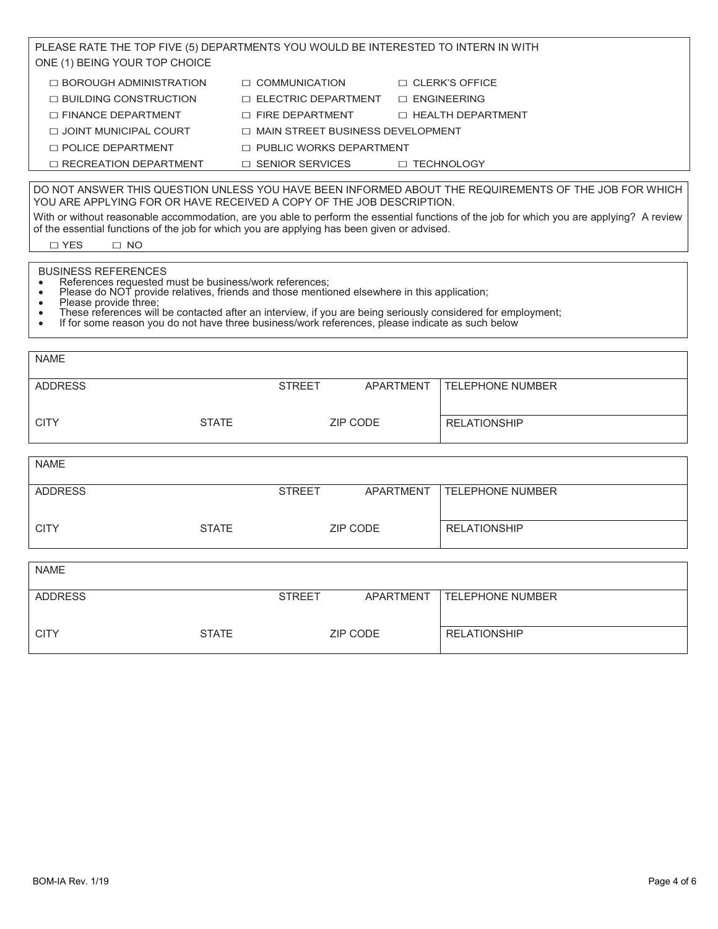| PLEASE RATE THE TOP FIVE (5) DEPARTMENTS YOU WOULD BE INTERESTED TO INTERN IN WITH                                                                                                                                                                                                                                                                                                                                                                         |                            |                                         |                         |  |
|------------------------------------------------------------------------------------------------------------------------------------------------------------------------------------------------------------------------------------------------------------------------------------------------------------------------------------------------------------------------------------------------------------------------------------------------------------|----------------------------|-----------------------------------------|-------------------------|--|
| ONE (1) BEING YOUR TOP CHOICE                                                                                                                                                                                                                                                                                                                                                                                                                              |                            |                                         |                         |  |
| $\Box$ BOROUGH ADMINISTRATION                                                                                                                                                                                                                                                                                                                                                                                                                              | $\Box$ COMMUNICATION       |                                         | $\Box$ CLERK'S OFFICE   |  |
| $\Box$ BUILDING CONSTRUCTION                                                                                                                                                                                                                                                                                                                                                                                                                               | $\Box$ ELECTRIC DEPARTMENT |                                         | $\Box$ ENGINEERING      |  |
| $\Box$ FINANCE DEPARTMENT                                                                                                                                                                                                                                                                                                                                                                                                                                  | $\Box$ FIRE DEPARTMENT     |                                         | □ HEALTH DEPARTMENT     |  |
| □ JOINT MUNICIPAL COURT                                                                                                                                                                                                                                                                                                                                                                                                                                    |                            | $\Box$ MAIN STREET BUSINESS DEVELOPMENT |                         |  |
| $\Box$ POLICE DEPARTMENT                                                                                                                                                                                                                                                                                                                                                                                                                                   |                            | $\Box$ PUBLIC WORKS DEPARTMENT          |                         |  |
| $\Box$ RECREATION DEPARTMENT                                                                                                                                                                                                                                                                                                                                                                                                                               | $\Box$ SENIOR SERVICES     |                                         | □ TECHNOLOGY            |  |
| DO NOT ANSWER THIS QUESTION UNLESS YOU HAVE BEEN INFORMED ABOUT THE REQUIREMENTS OF THE JOB FOR WHICH<br>YOU ARE APPLYING FOR OR HAVE RECEIVED A COPY OF THE JOB DESCRIPTION.<br>With or without reasonable accommodation, are you able to perform the essential functions of the job for which you are applying? A review<br>of the essential functions of the job for which you are applying has been given or advised.                                  |                            |                                         |                         |  |
| $\Box$ YES<br>$\Box$ NO                                                                                                                                                                                                                                                                                                                                                                                                                                    |                            |                                         |                         |  |
| <b>BUSINESS REFERENCES</b><br>References requested must be business/work references;<br>Please do NOT provide relatives, friends and those mentioned elsewhere in this application;<br>$\bullet$<br>Please provide three:<br>These references will be contacted after an interview, if you are being seriously considered for employment;<br>$\bullet$<br>If for some reason you do not have three business/work references, please indicate as such below |                            |                                         |                         |  |
| <b>NAME</b>                                                                                                                                                                                                                                                                                                                                                                                                                                                |                            |                                         |                         |  |
|                                                                                                                                                                                                                                                                                                                                                                                                                                                            |                            |                                         |                         |  |
| <b>ADDRESS</b>                                                                                                                                                                                                                                                                                                                                                                                                                                             | <b>STREET</b>              | <b>APARTMENT</b>                        | <b>TELEPHONE NUMBER</b> |  |
| <b>CITY</b><br><b>STATE</b>                                                                                                                                                                                                                                                                                                                                                                                                                                |                            | <b>ZIP CODE</b>                         | <b>RELATIONSHIP</b>     |  |
|                                                                                                                                                                                                                                                                                                                                                                                                                                                            |                            |                                         |                         |  |
| <b>NAME</b>                                                                                                                                                                                                                                                                                                                                                                                                                                                |                            |                                         |                         |  |
| <b>ADDRESS</b>                                                                                                                                                                                                                                                                                                                                                                                                                                             | <b>STREET</b>              | <b>APARTMENT</b>                        | <b>TELEPHONE NUMBER</b> |  |
| <b>CITY</b><br><b>STATE</b>                                                                                                                                                                                                                                                                                                                                                                                                                                |                            | <b>ZIP CODE</b>                         | <b>RELATIONSHIP</b>     |  |
|                                                                                                                                                                                                                                                                                                                                                                                                                                                            |                            |                                         |                         |  |
| <b>NAME</b>                                                                                                                                                                                                                                                                                                                                                                                                                                                |                            |                                         |                         |  |
| <b>ADDRESS</b>                                                                                                                                                                                                                                                                                                                                                                                                                                             | <b>STREET</b>              | <b>APARTMENT</b>                        | <b>TELEPHONE NUMBER</b> |  |
| <b>CITY</b><br><b>STATE</b>                                                                                                                                                                                                                                                                                                                                                                                                                                |                            | <b>ZIP CODE</b>                         | <b>RELATIONSHIP</b>     |  |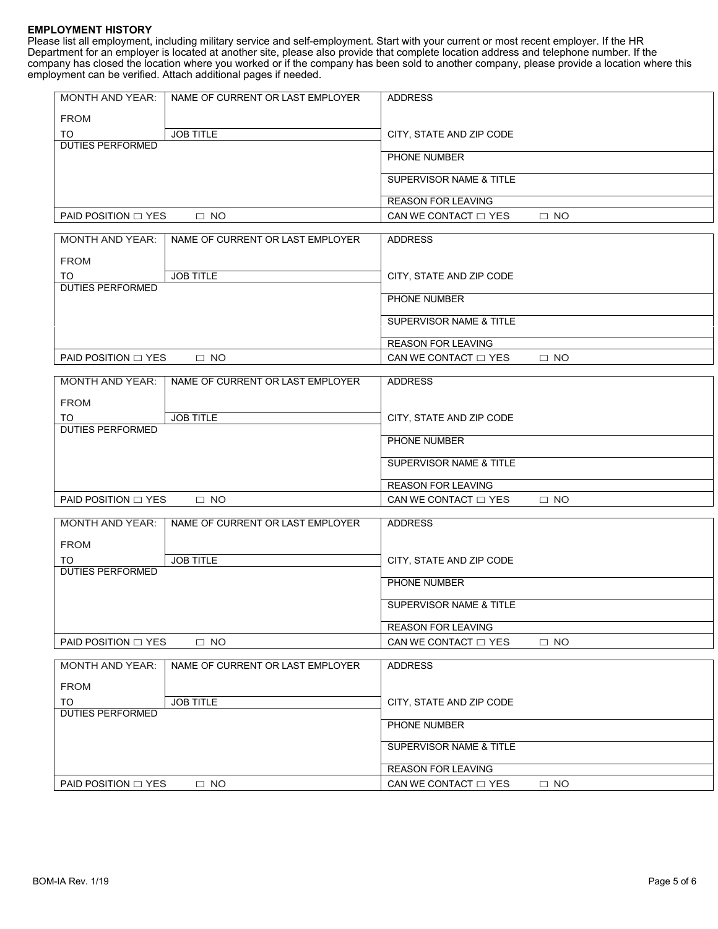#### **EMPLOYMENT HISTORY**

Please list all employment, including military service and self-employment. Start with your current or most recent employer. If the HR Department for an employer is located at another site, please also provide that complete location address and telephone number. If the company has closed the location where you worked or if the company has been sold to another company, please provide a location where this employment can be verified. Attach additional pages if needed.

| <b>MONTH AND YEAR:</b><br>NAME OF CURRENT OR LAST EMPLOYER | <b>ADDRESS</b>                                               |
|------------------------------------------------------------|--------------------------------------------------------------|
| <b>FROM</b>                                                |                                                              |
| <b>JOB TITLE</b><br>TO                                     | CITY, STATE AND ZIP CODE                                     |
| <b>DUTIES PERFORMED</b>                                    | PHONE NUMBER                                                 |
|                                                            |                                                              |
|                                                            | SUPERVISOR NAME & TITLE                                      |
|                                                            | <b>REASON FOR LEAVING</b>                                    |
| PAID POSITION $\Box$ YES<br>$\square$ NO                   | CAN WE CONTACT $\Box$ YES<br>$\Box$ NO                       |
| <b>MONTH AND YEAR:</b><br>NAME OF CURRENT OR LAST EMPLOYER | <b>ADDRESS</b>                                               |
|                                                            |                                                              |
| <b>FROM</b>                                                |                                                              |
| <b>JOB TITLE</b><br>TO<br><b>DUTIES PERFORMED</b>          | CITY, STATE AND ZIP CODE                                     |
|                                                            | PHONE NUMBER                                                 |
|                                                            | <b>SUPERVISOR NAME &amp; TITLE</b>                           |
|                                                            |                                                              |
|                                                            | <b>REASON FOR LEAVING</b>                                    |
| PAID POSITION $\Box$ YES<br>$\Box$ NO                      | CAN WE CONTACT $\Box$ YES<br>$\Box$ NO                       |
| <b>MONTH AND YEAR:</b><br>NAME OF CURRENT OR LAST EMPLOYER | <b>ADDRESS</b>                                               |
| <b>FROM</b>                                                |                                                              |
| <b>JOB TITLE</b><br>TO                                     | CITY, STATE AND ZIP CODE                                     |
| <b>DUTIES PERFORMED</b>                                    |                                                              |
|                                                            | PHONE NUMBER                                                 |
|                                                            | SUPERVISOR NAME & TITLE                                      |
|                                                            |                                                              |
| PAID POSITION $\Box$ YES<br>$\Box$ NO                      | REASON FOR LEAVING<br>CAN WE CONTACT $\Box$ YES<br>$\Box$ NO |
|                                                            |                                                              |
| <b>MONTH AND YEAR:</b><br>NAME OF CURRENT OR LAST EMPLOYER | <b>ADDRESS</b>                                               |
| <b>FROM</b>                                                |                                                              |
| <b>JOB TITLE</b><br>TO                                     | CITY, STATE AND ZIP CODE                                     |
| <b>DUTIES PERFORMED</b>                                    |                                                              |
|                                                            | PHONE NUMBER                                                 |
|                                                            | SUPERVISOR NAME & TITLE                                      |
|                                                            | <b>REASON FOR LEAVING</b>                                    |
| PAID POSITION $\Box$ YES<br>$\Box$ NO                      | CAN WE CONTACT $\Box$ YES<br>$\Box$ NO                       |
|                                                            |                                                              |
| <b>MONTH AND YEAR:</b><br>NAME OF CURRENT OR LAST EMPLOYER | <b>ADDRESS</b>                                               |
| <b>FROM</b>                                                |                                                              |
| <b>JOB TITLE</b><br>TO                                     | CITY, STATE AND ZIP CODE                                     |
| <b>DUTIES PERFORMED</b>                                    | PHONE NUMBER                                                 |
|                                                            |                                                              |
|                                                            | SUPERVISOR NAME & TITLE                                      |
|                                                            | <b>REASON FOR LEAVING</b>                                    |
| PAID POSITION $\Box$ YES<br>$\Box$ NO                      | CAN WE CONTACT $\Box$ YES<br>$\Box$ NO                       |